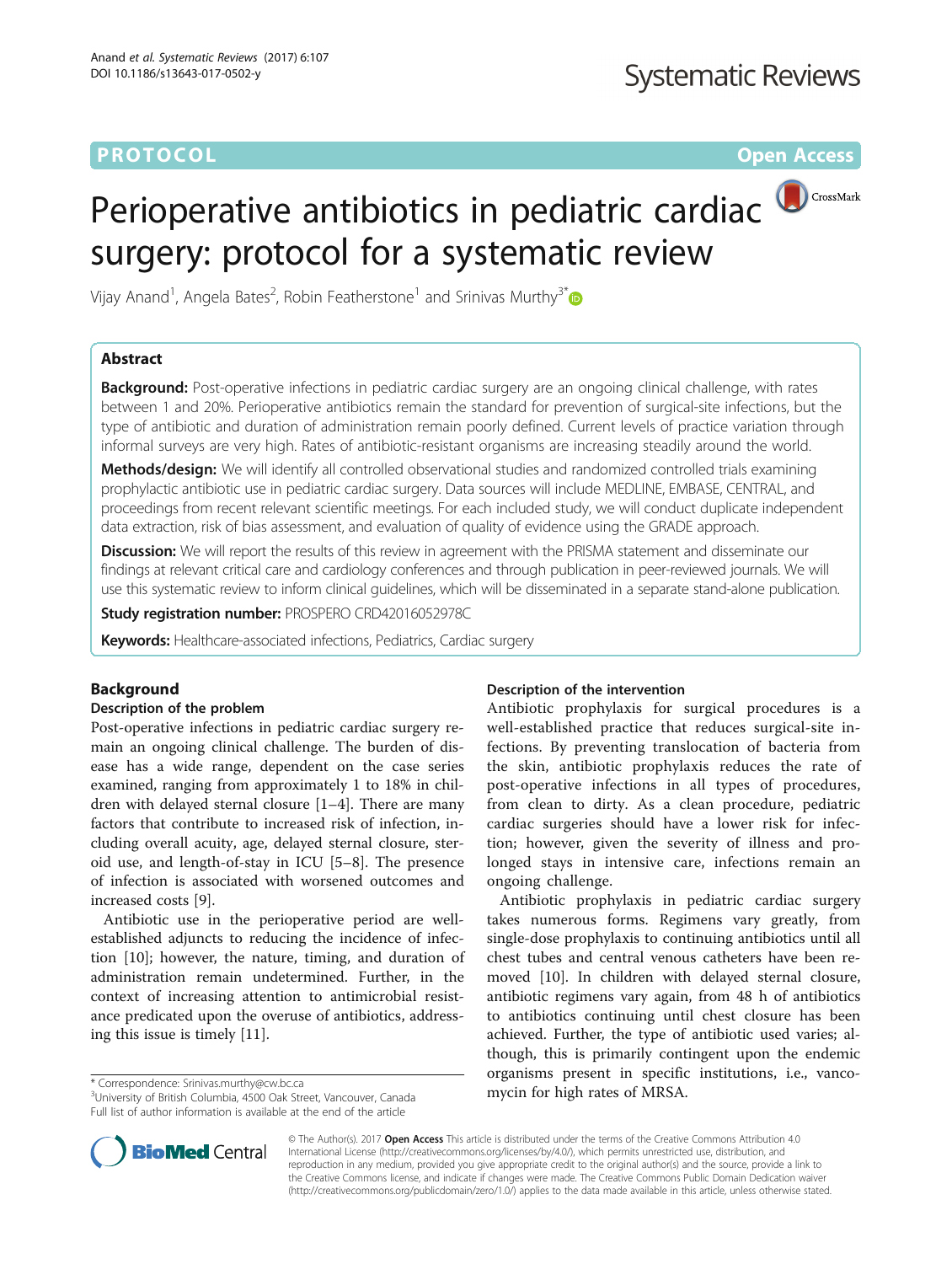# **PROTOCOL CONSUMING THE OPEN ACCESS**

# Perioperative antibiotics in pediatric cardiac<sup>(DCrossMark</sup> surgery: protocol for a systematic review

Vijay Anand<sup>1</sup>, Angela Bates<sup>2</sup>, Robin Featherstone<sup>1</sup> and Srinivas Murthy<sup>3\*</sup>

# Abstract

**Background:** Post-operative infections in pediatric cardiac surgery are an ongoing clinical challenge, with rates between 1 and 20%. Perioperative antibiotics remain the standard for prevention of surgical-site infections, but the type of antibiotic and duration of administration remain poorly defined. Current levels of practice variation through informal surveys are very high. Rates of antibiotic-resistant organisms are increasing steadily around the world.

Methods/design: We will identify all controlled observational studies and randomized controlled trials examining prophylactic antibiotic use in pediatric cardiac surgery. Data sources will include MEDLINE, EMBASE, CENTRAL, and proceedings from recent relevant scientific meetings. For each included study, we will conduct duplicate independent data extraction, risk of bias assessment, and evaluation of quality of evidence using the GRADE approach.

**Discussion:** We will report the results of this review in agreement with the PRISMA statement and disseminate our findings at relevant critical care and cardiology conferences and through publication in peer-reviewed journals. We will use this systematic review to inform clinical guidelines, which will be disseminated in a separate stand-alone publication.

Study registration number: PROSPERO [CRD42016052978C](http://www.crd.york.ac.uk/PROSPERO/display_record.asp?ID=CRD42016052978)

Keywords: Healthcare-associated infections, Pediatrics, Cardiac surgery

# Background

#### Description of the problem

Post-operative infections in pediatric cardiac surgery remain an ongoing clinical challenge. The burden of disease has a wide range, dependent on the case series examined, ranging from approximately 1 to 18% in children with delayed sternal closure [\[1](#page-2-0)–[4](#page-2-0)]. There are many factors that contribute to increased risk of infection, including overall acuity, age, delayed sternal closure, steroid use, and length-of-stay in ICU [\[5](#page-2-0)–[8](#page-2-0)]. The presence of infection is associated with worsened outcomes and increased costs [\[9](#page-2-0)].

Antibiotic use in the perioperative period are wellestablished adjuncts to reducing the incidence of infection [[10](#page-2-0)]; however, the nature, timing, and duration of administration remain undetermined. Further, in the context of increasing attention to antimicrobial resistance predicated upon the overuse of antibiotics, addressing this issue is timely [[11](#page-2-0)].

Full list of author information is available at the end of the article

#### Description of the intervention

Antibiotic prophylaxis for surgical procedures is a well-established practice that reduces surgical-site infections. By preventing translocation of bacteria from the skin, antibiotic prophylaxis reduces the rate of post-operative infections in all types of procedures, from clean to dirty. As a clean procedure, pediatric cardiac surgeries should have a lower risk for infection; however, given the severity of illness and prolonged stays in intensive care, infections remain an ongoing challenge.

Antibiotic prophylaxis in pediatric cardiac surgery takes numerous forms. Regimens vary greatly, from single-dose prophylaxis to continuing antibiotics until all chest tubes and central venous catheters have been removed [[10\]](#page-2-0). In children with delayed sternal closure, antibiotic regimens vary again, from 48 h of antibiotics to antibiotics continuing until chest closure has been achieved. Further, the type of antibiotic used varies; although, this is primarily contingent upon the endemic organisms present in specific institutions, i.e., vanco-\* Correspondence: [Srinivas.murthy@cw.bc.ca](mailto:Srinivas.murthy@cw.bc.ca) 3<br>
<sup>3</sup>University of British Columbia, 4500 Oak Street, Vancouver, Canada **31 mycin for high rates of MRSA**.



© The Author(s). 2017 **Open Access** This article is distributed under the terms of the Creative Commons Attribution 4.0 International License [\(http://creativecommons.org/licenses/by/4.0/](http://creativecommons.org/licenses/by/4.0/)), which permits unrestricted use, distribution, and reproduction in any medium, provided you give appropriate credit to the original author(s) and the source, provide a link to the Creative Commons license, and indicate if changes were made. The Creative Commons Public Domain Dedication waiver [\(http://creativecommons.org/publicdomain/zero/1.0/](http://creativecommons.org/publicdomain/zero/1.0/)) applies to the data made available in this article, unless otherwise stated.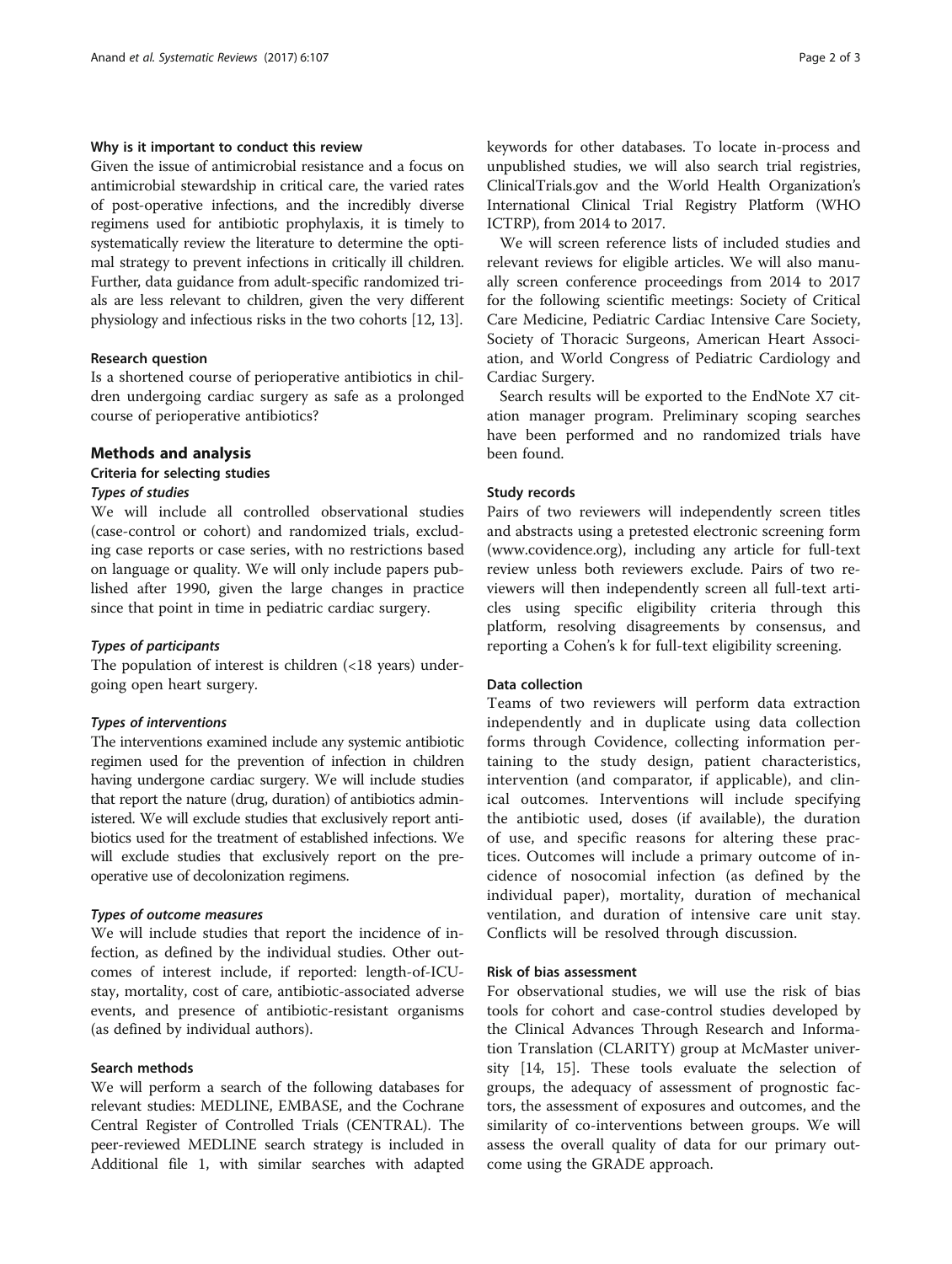## Why is it important to conduct this review

Given the issue of antimicrobial resistance and a focus on antimicrobial stewardship in critical care, the varied rates of post-operative infections, and the incredibly diverse regimens used for antibiotic prophylaxis, it is timely to systematically review the literature to determine the optimal strategy to prevent infections in critically ill children. Further, data guidance from adult-specific randomized trials are less relevant to children, given the very different physiology and infectious risks in the two cohorts [\[12](#page-2-0), [13](#page-2-0)].

## Research question

Is a shortened course of perioperative antibiotics in children undergoing cardiac surgery as safe as a prolonged course of perioperative antibiotics?

## Methods and analysis

## Criteria for selecting studies

### Types of studies

We will include all controlled observational studies (case-control or cohort) and randomized trials, excluding case reports or case series, with no restrictions based on language or quality. We will only include papers published after 1990, given the large changes in practice since that point in time in pediatric cardiac surgery.

#### Types of participants

The population of interest is children (<18 years) undergoing open heart surgery.

#### Types of interventions

The interventions examined include any systemic antibiotic regimen used for the prevention of infection in children having undergone cardiac surgery. We will include studies that report the nature (drug, duration) of antibiotics administered. We will exclude studies that exclusively report antibiotics used for the treatment of established infections. We will exclude studies that exclusively report on the preoperative use of decolonization regimens.

## Types of outcome measures

We will include studies that report the incidence of infection, as defined by the individual studies. Other outcomes of interest include, if reported: length-of-ICUstay, mortality, cost of care, antibiotic-associated adverse events, and presence of antibiotic-resistant organisms (as defined by individual authors).

#### Search methods

We will perform a search of the following databases for relevant studies: MEDLINE, EMBASE, and the Cochrane Central Register of Controlled Trials (CENTRAL). The peer-reviewed MEDLINE search strategy is included in Additional file [1,](#page-2-0) with similar searches with adapted keywords for other databases. To locate in-process and unpublished studies, we will also search trial registries, ClinicalTrials.gov and the World Health Organization's International Clinical Trial Registry Platform (WHO ICTRP), from 2014 to 2017.

We will screen reference lists of included studies and relevant reviews for eligible articles. We will also manually screen conference proceedings from 2014 to 2017 for the following scientific meetings: Society of Critical Care Medicine, Pediatric Cardiac Intensive Care Society, Society of Thoracic Surgeons, American Heart Association, and World Congress of Pediatric Cardiology and Cardiac Surgery.

Search results will be exported to the EndNote X7 citation manager program. Preliminary scoping searches have been performed and no randomized trials have been found.

#### Study records

Pairs of two reviewers will independently screen titles and abstracts using a pretested electronic screening form ([www.covidence.org\)](http://www.covidence.org/), including any article for full-text review unless both reviewers exclude. Pairs of two reviewers will then independently screen all full-text articles using specific eligibility criteria through this platform, resolving disagreements by consensus, and reporting a Cohen's k for full-text eligibility screening.

## Data collection

Teams of two reviewers will perform data extraction independently and in duplicate using data collection forms through Covidence, collecting information pertaining to the study design, patient characteristics, intervention (and comparator, if applicable), and clinical outcomes. Interventions will include specifying the antibiotic used, doses (if available), the duration of use, and specific reasons for altering these practices. Outcomes will include a primary outcome of incidence of nosocomial infection (as defined by the individual paper), mortality, duration of mechanical ventilation, and duration of intensive care unit stay. Conflicts will be resolved through discussion.

#### Risk of bias assessment

For observational studies, we will use the risk of bias tools for cohort and case-control studies developed by the Clinical Advances Through Research and Information Translation (CLARITY) group at McMaster university [[14, 15\]](#page-2-0). These tools evaluate the selection of groups, the adequacy of assessment of prognostic factors, the assessment of exposures and outcomes, and the similarity of co-interventions between groups. We will assess the overall quality of data for our primary outcome using the GRADE approach.